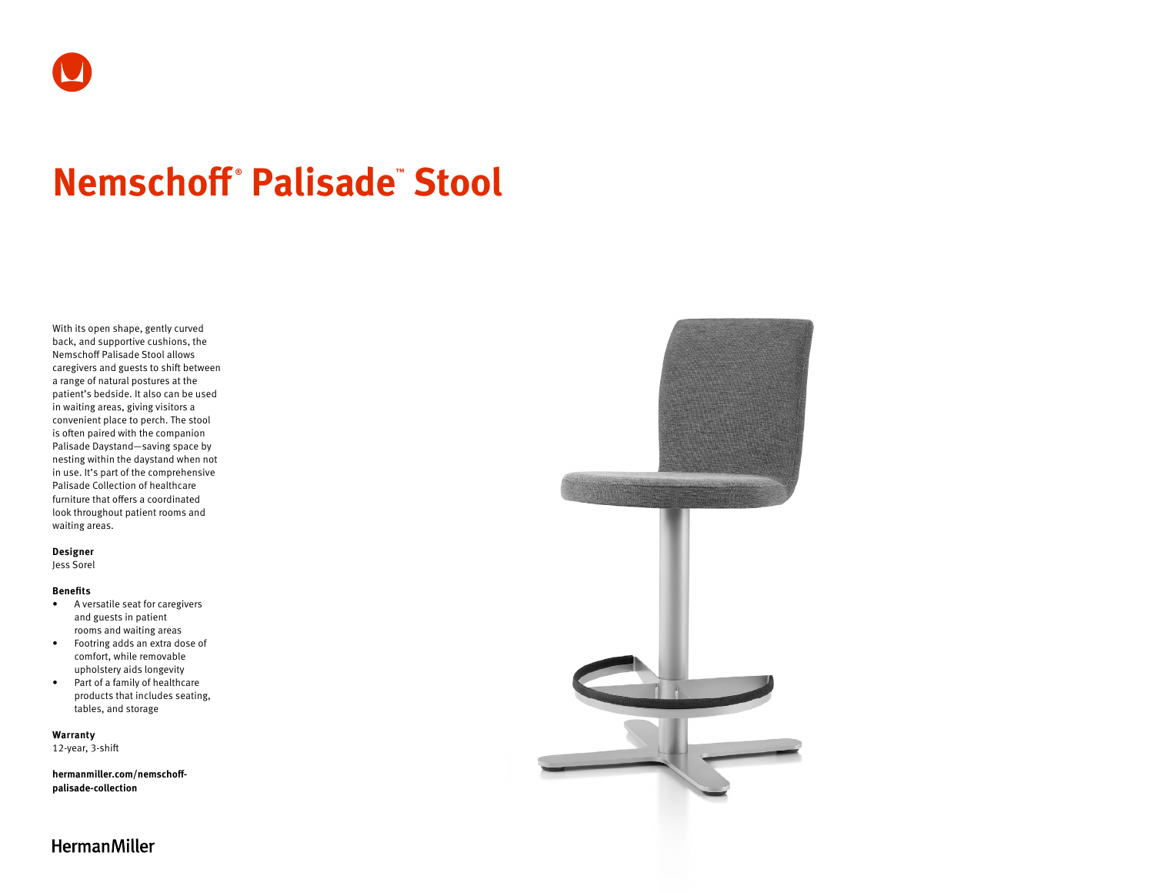# **Nemschoff ® Palisade™ Stool**

With its open shape, gently curved back, and supportive cushions, the Nemschoff Palisade Stool allows caregivers and guests to shift between a range of natural postures at the patient's bedside. It also can be used in waiting areas, giving visitors a convenient place to perch. The stool is often paired with the companion Palisade Daystand—saving space by nesting within the daystand when not in use. It's part of the comprehensive Palisade Collection of healthcare furniture that offers a coordinated look throughout patient rooms and waiting areas.

### **Designer**

Jess Sorel

#### **Benefits**

- A versatile seat for caregivers and guests in patient rooms and waiting areas
- Footring adds an extra dose of comfort, while removable upholstery aids longevity
- Part of a family of healthcare products that includes seating, tables, and storage

**Warranty** 

12-year, 3-shift

**[hermanmiller.com/nemschoff](http://hermanmiller.com/nemschoff-palisade-collection)[palisade-collection](http://hermanmiller.com/nemschoff-palisade-collection)**



**HermanMiller**